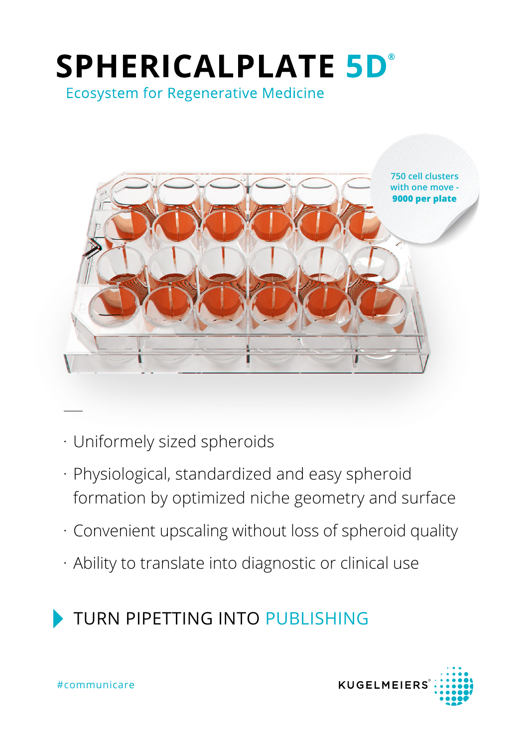# **SPHERICALPLATE 5D°**

**Ecosystem for Regenerative Medicine** 



- · Uniformely sized spheroids
- · Physiological, standardized and easy spheroid formation by optimized niche geometry and surface
- · Convenient upscaling without loss of spheroid quality
- · Ability to translate into diagnostic or clinical use

## TURN PIPETTING INTO PUBLISHING

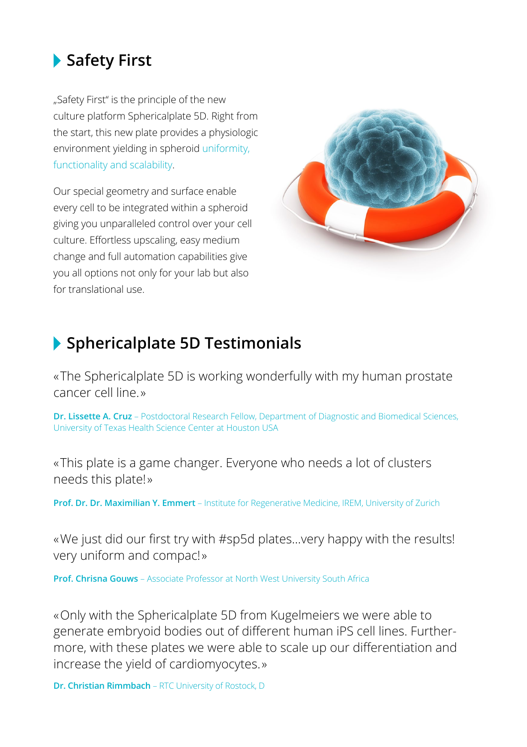#### **Safety First**

"Safety First" is the principle of the new culture platform Sphericalplate 5D. Right from the start, this new plate provides a physiologic environment yielding in spheroid uniformity, functionality and scalability.

Our special geometry and surface enable every cell to be integrated within a spheroid giving you unparalleled control over your cell culture. Effortless upscaling, easy medium change and full automation capabilities give you all options not only for your lab but also for translational use.



#### **Sphericalplate 5D Testimonials**

« The Sphericalplate 5D is working wonderfully with my human prostate cancer cell line. »

**Dr. Lissette A. Cruz** – Postdoctoral Research Fellow, Department of Diagnostic and Biomedical Sciences, University of Texas Health Science Center at Houston USA

« This plate is a game changer. Everyone who needs a lot of clusters needs this plate! »

**Prof. Dr. Dr. Maximilian Y. Emmert** – Institute for Regenerative Medicine, IREM, University of Zurich

« We just did our first try with #sp5d plates…very happy with the results! very uniform and compac! »

**Prof. Chrisna Gouws** – Associate Professor at North West University South Africa

« Only with the Sphericalplate 5D from Kugelmeiers we were able to generate embryoid bodies out of different human iPS cell lines. Furthermore, with these plates we were able to scale up our differentiation and increase the yield of cardiomyocytes. »

**Dr. Christian Rimmbach** – RTC University of Rostock, D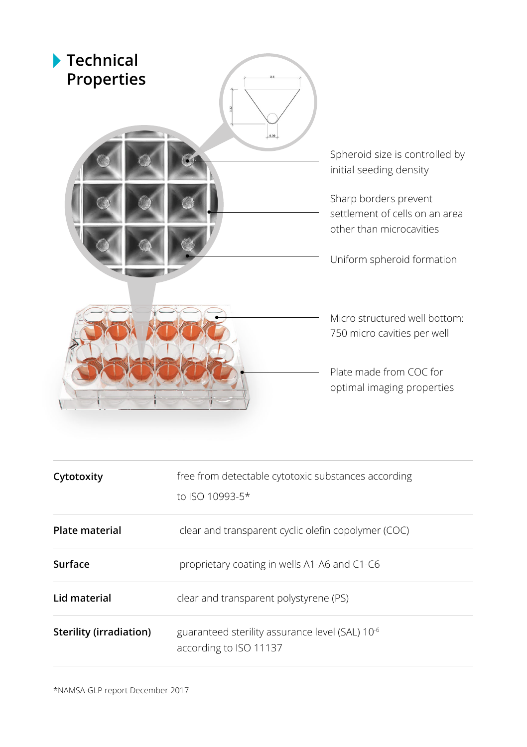

| Cytotoxity              | free from detectable cytotoxic substances according<br>to ISO 10993-5*                |
|-------------------------|---------------------------------------------------------------------------------------|
| <b>Plate material</b>   | clear and transparent cyclic olefin copolymer (COC)                                   |
| Surface                 | proprietary coating in wells A1-A6 and C1-C6                                          |
| Lid material            | clear and transparent polystyrene (PS)                                                |
| Sterility (irradiation) | guaranteed sterility assurance level (SAL) 10 <sup>-6</sup><br>according to ISO 11137 |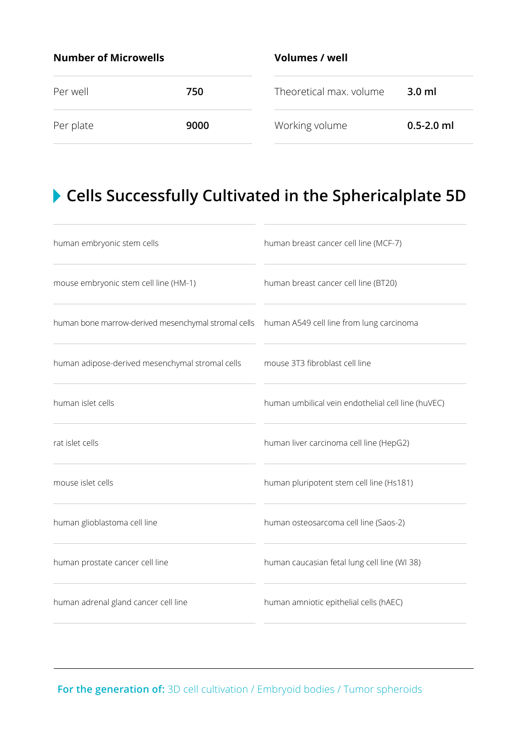| <b>Number of Microwells</b> |      | Volumes / well          |                  |  |
|-----------------------------|------|-------------------------|------------------|--|
| Per well                    | 750  | Theoretical max. volume | 3.0 <sub>m</sub> |  |
| Per plate                   | 9000 | Working volume          | $0.5 - 2.0$ ml   |  |

## **Cells Successfully Cultivated in the Sphericalplate 5D**

| human embryonic stem cells                          | human breast cancer cell line (MCF-7)              |  |  |
|-----------------------------------------------------|----------------------------------------------------|--|--|
| mouse embryonic stem cell line (HM-1)               | human breast cancer cell line (BT20)               |  |  |
| human bone marrow-derived mesenchymal stromal cells | human A549 cell line from lung carcinoma           |  |  |
| human adipose-derived mesenchymal stromal cells     | mouse 3T3 fibroblast cell line                     |  |  |
| human islet cells                                   | human umbilical vein endothelial cell line (huVEC) |  |  |
| rat islet cells                                     | human liver carcinoma cell line (HepG2)            |  |  |
| mouse islet cells                                   | human pluripotent stem cell line (Hs181)           |  |  |
| human glioblastoma cell line                        | human osteosarcoma cell line (Saos-2)              |  |  |
| human prostate cancer cell line                     | human caucasian fetal lung cell line (WI 38)       |  |  |
| human adrenal gland cancer cell line                | human amniotic epithelial cells (hAEC)             |  |  |
|                                                     |                                                    |  |  |

For the generation of: 3D cell cultivation / Embryoid bodies / Tumor spheroids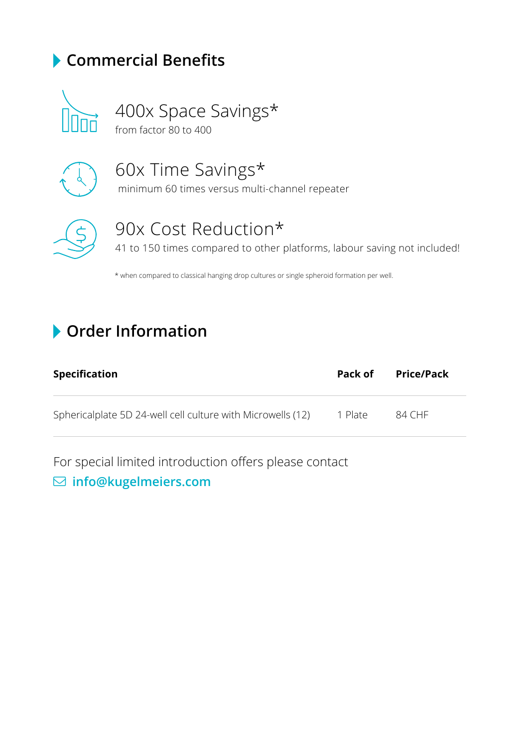#### **Commercial Benefits**



400x Space Savings\* from factor 80 to 400



60x Time Savings\*

minimum 60 times versus multi-channel repeater



## 90x Cost Reduction\*

41 to 150 times compared to other platforms, labour saving not included!

\* when compared to classical hanging drop cultures or single spheroid formation per well.

#### **Order Information**

| <b>Specification</b>                                        | Pack of | Price/Pack |
|-------------------------------------------------------------|---------|------------|
| Sphericalplate 5D 24-well cell culture with Microwells (12) | 1 Plate | 84 CHF     |

For special limited introduction offers please contact

#### $⊡$  info@kugelmeiers.com